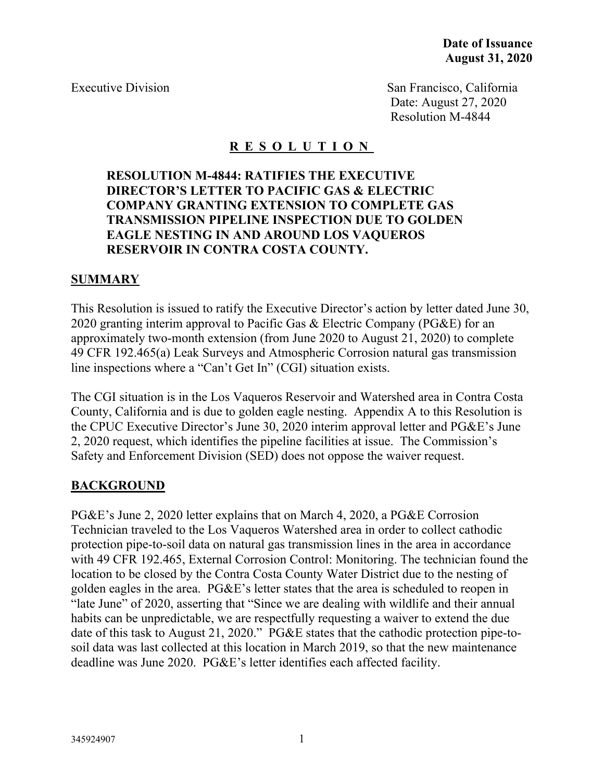Executive Division San Francisco, California Date: August 27, 2020 Resolution M-4844

## **R E S O L U T I O N**

### **RESOLUTION M-4844: RATIFIES THE EXECUTIVE DIRECTOR'S LETTER TO PACIFIC GAS & ELECTRIC COMPANY GRANTING EXTENSION TO COMPLETE GAS TRANSMISSION PIPELINE INSPECTION DUE TO GOLDEN EAGLE NESTING IN AND AROUND LOS VAQUEROS RESERVOIR IN CONTRA COSTA COUNTY.**

### **SUMMARY**

This Resolution is issued to ratify the Executive Director's action by letter dated June 30, 2020 granting interim approval to Pacific Gas & Electric Company (PG&E) for an approximately two-month extension (from June 2020 to August 21, 2020) to complete 49 CFR 192.465(a) Leak Surveys and Atmospheric Corrosion natural gas transmission line inspections where a "Can't Get In" (CGI) situation exists.

The CGI situation is in the Los Vaqueros Reservoir and Watershed area in Contra Costa County, California and is due to golden eagle nesting. Appendix A to this Resolution is the CPUC Executive Director's June 30, 2020 interim approval letter and PG&E's June 2, 2020 request, which identifies the pipeline facilities at issue. The Commission's Safety and Enforcement Division (SED) does not oppose the waiver request.

### **BACKGROUND**

PG&E's June 2, 2020 letter explains that on March 4, 2020, a PG&E Corrosion Technician traveled to the Los Vaqueros Watershed area in order to collect cathodic protection pipe-to-soil data on natural gas transmission lines in the area in accordance with 49 CFR 192.465, External Corrosion Control: Monitoring. The technician found the location to be closed by the Contra Costa County Water District due to the nesting of golden eagles in the area. PG&E's letter states that the area is scheduled to reopen in "late June" of 2020, asserting that "Since we are dealing with wildlife and their annual habits can be unpredictable, we are respectfully requesting a waiver to extend the due date of this task to August 21, 2020." PG&E states that the cathodic protection pipe-tosoil data was last collected at this location in March 2019, so that the new maintenance deadline was June 2020. PG&E's letter identifies each affected facility.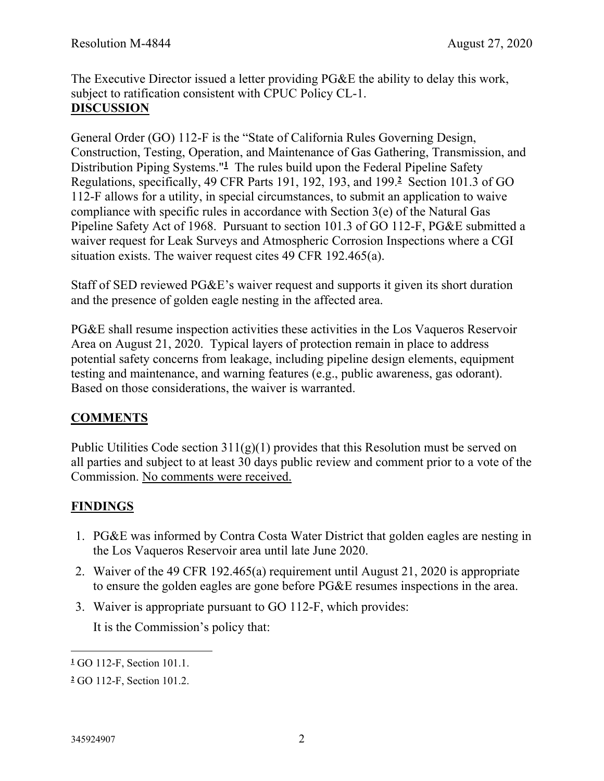The Executive Director issued a letter providing PG&E the ability to delay this work, subject to ratification consistent with CPUC Policy CL-1. **DISCUSSION**

General Order (GO) 112-F is the "State of California Rules Governing Design, Construction, Testing, Operation, and Maintenance of Gas Gathering, Transmission, and Distribution Piping Systems."**<sup>1</sup>** The rules build upon the Federal Pipeline Safety Regulations, specifically, 49 CFR Parts 191, 192, 193, and 199.**<sup>2</sup>** Section 101.3 of GO 112-F allows for a utility, in special circumstances, to submit an application to waive compliance with specific rules in accordance with Section 3(e) of the Natural Gas Pipeline Safety Act of 1968. Pursuant to section 101.3 of GO 112-F, PG&E submitted a waiver request for Leak Surveys and Atmospheric Corrosion Inspections where a CGI situation exists. The waiver request cites 49 CFR 192.465(a).

Staff of SED reviewed PG&E's waiver request and supports it given its short duration and the presence of golden eagle nesting in the affected area.

PG&E shall resume inspection activities these activities in the Los Vaqueros Reservoir Area on August 21, 2020. Typical layers of protection remain in place to address potential safety concerns from leakage, including pipeline design elements, equipment testing and maintenance, and warning features (e.g., public awareness, gas odorant). Based on those considerations, the waiver is warranted.

# **COMMENTS**

Public Utilities Code section  $311(g)(1)$  provides that this Resolution must be served on all parties and subject to at least 30 days public review and comment prior to a vote of the Commission. No comments were received.

## **FINDINGS**

- 1. PG&E was informed by Contra Costa Water District that golden eagles are nesting in the Los Vaqueros Reservoir area until late June 2020.
- 2. Waiver of the 49 CFR 192.465(a) requirement until August 21, 2020 is appropriate to ensure the golden eagles are gone before PG&E resumes inspections in the area.
- 3. Waiver is appropriate pursuant to GO 112-F, which provides:

It is the Commission's policy that:

**<sup>1</sup>** GO 112-F, Section 101.1.

**<sup>2</sup>** GO 112-F, Section 101.2.